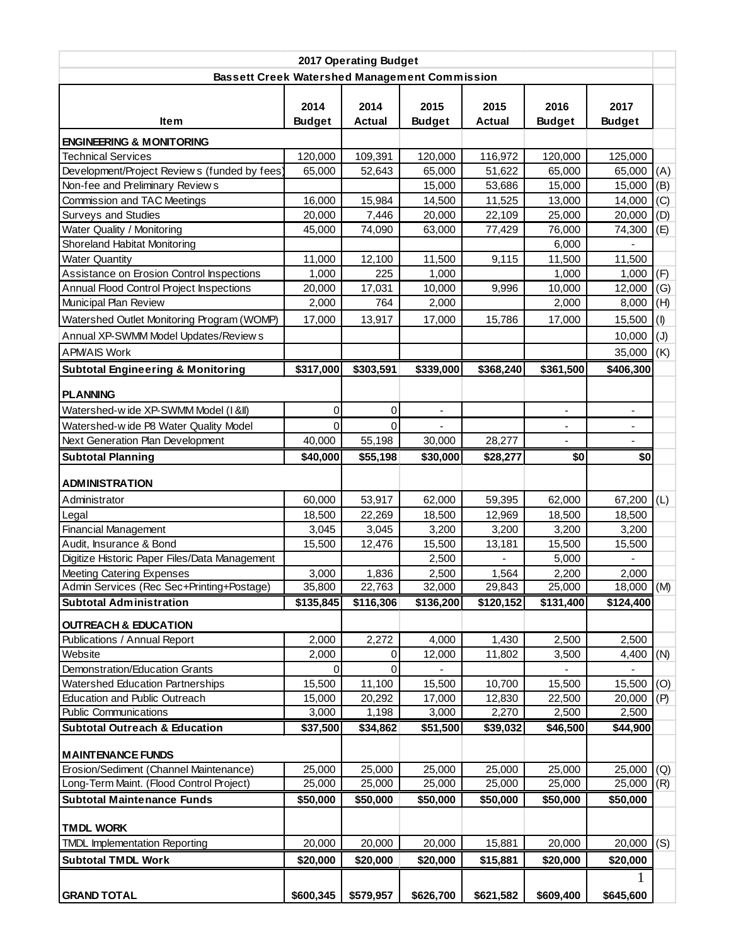| 2017 Operating Budget                                           |                       |                       |                       |                       |                          |                          |     |  |  |  |
|-----------------------------------------------------------------|-----------------------|-----------------------|-----------------------|-----------------------|--------------------------|--------------------------|-----|--|--|--|
| <b>Bassett Creek Watershed Management Commission</b>            |                       |                       |                       |                       |                          |                          |     |  |  |  |
| <b>Item</b>                                                     | 2014<br><b>Budget</b> | 2014<br><b>Actual</b> | 2015<br><b>Budget</b> | 2015<br><b>Actual</b> | 2016<br><b>Budget</b>    | 2017<br><b>Budget</b>    |     |  |  |  |
| <b>ENGINEERING &amp; MONITORING</b>                             |                       |                       |                       |                       |                          |                          |     |  |  |  |
| <b>Technical Services</b>                                       | 120,000               | 109,391               | 120,000               | 116,972               | 120,000                  | 125,000                  |     |  |  |  |
| Development/Project Review s (funded by fees)                   | 65,000                | 52,643                | 65,000                | 51,622                | 65,000                   | 65,000                   | (A) |  |  |  |
| Non-fee and Preliminary Reviews                                 |                       |                       | 15,000                | 53,686                | 15,000                   | 15,000                   | (B) |  |  |  |
| Commission and TAC Meetings                                     | 16,000                | 15,984                | 14,500                | 11,525                | 13,000                   | 14,000                   | (C) |  |  |  |
| <b>Surveys and Studies</b>                                      | 20,000                | 7,446                 | 20,000                | 22,109                | 25,000                   | 20,000                   | (D) |  |  |  |
| Water Quality / Monitoring                                      | 45,000                | 74,090                | 63,000                | 77,429                | 76,000                   | 74,300                   | (E) |  |  |  |
| Shoreland Habitat Monitoring                                    |                       |                       |                       |                       | 6,000                    |                          |     |  |  |  |
| <b>Water Quantity</b>                                           | 11,000                | 12,100                | 11,500                | 9,115                 | 11,500                   | 11,500                   |     |  |  |  |
| Assistance on Erosion Control Inspections                       | 1,000                 | 225                   | 1,000                 |                       | 1,000                    | 1,000                    | (F) |  |  |  |
| Annual Flood Control Project Inspections                        | 20,000                | 17,031                | 10,000                | 9,996                 | 10,000                   | 12,000                   | (G) |  |  |  |
| Municipal Plan Review                                           | 2,000                 | 764                   | 2,000                 |                       | 2,000                    | 8,000                    | (H) |  |  |  |
| Watershed Outlet Monitoring Program (WOMP)                      | 17,000                | 13,917                | 17,000                | 15,786                | 17,000                   | 15,500                   | (1) |  |  |  |
| Annual XP-SWMM Model Updates/Review s                           |                       |                       |                       |                       |                          | 10,000                   | (J) |  |  |  |
| <b>APMAIS Work</b>                                              |                       |                       |                       |                       |                          | 35,000                   | (K) |  |  |  |
| <b>Subtotal Engineering &amp; Monitoring</b>                    | \$317,000             | \$303,591             | \$339,000             | \$368,240             | \$361,500                | \$406,300                |     |  |  |  |
| <b>PLANNING</b>                                                 |                       |                       |                       |                       |                          |                          |     |  |  |  |
| Watershed-wide XP-SWMM Model (I &II)                            | 0                     | 0                     | $\blacksquare$        |                       | $\overline{\phantom{a}}$ | $\overline{\phantom{a}}$ |     |  |  |  |
| Watershed-wide P8 Water Quality Model                           | $\Omega$              | $\Omega$              |                       |                       |                          |                          |     |  |  |  |
| Next Generation Plan Development                                | 40,000                | 55,198                | 30,000                | 28,277                |                          |                          |     |  |  |  |
|                                                                 |                       |                       |                       |                       | \$0                      | \$0                      |     |  |  |  |
| <b>Subtotal Planning</b>                                        | \$40,000              | \$55,198              | \$30,000              | \$28,277              |                          |                          |     |  |  |  |
| <b>ADMINISTRATION</b>                                           |                       |                       |                       |                       |                          |                          |     |  |  |  |
| Administrator                                                   | 60,000                | 53,917                | 62,000                | 59,395                | 62,000                   | 67,200                   | (L) |  |  |  |
| Legal                                                           | 18,500                | 22,269                | 18,500                | 12,969                | 18,500                   | 18,500                   |     |  |  |  |
| Financial Management                                            | 3,045                 | 3,045                 | 3,200                 | 3,200                 | 3,200                    | 3,200                    |     |  |  |  |
| Audit, Insurance & Bond                                         | 15,500                | 12,476                | 15,500                | 13,181                | 15,500                   | 15,500                   |     |  |  |  |
| Digitize Historic Paper Files/Data Management                   |                       |                       | 2,500                 |                       | 5,000                    |                          |     |  |  |  |
| <b>Meeting Catering Expenses</b>                                | 3,000                 | 1,836                 | 2,500                 | 1,564                 | 2,200                    | 2,000                    |     |  |  |  |
| Admin Services (Rec Sec+Printing+Postage)                       | 35,800                | 22,763                | 32,000                | 29,843                | 25,000                   | $18,000$ (M)             |     |  |  |  |
| <b>Subtotal Administration</b>                                  | \$135,845             | \$116,306             | \$136,200             | \$120,152             | \$131,400                | \$124,400                |     |  |  |  |
|                                                                 |                       |                       |                       |                       |                          |                          |     |  |  |  |
| <b>OUTREACH &amp; EDUCATION</b><br>Publications / Annual Report | 2,000                 | 2,272                 | 4,000                 | 1,430                 | 2,500                    | 2,500                    |     |  |  |  |
| Website                                                         | 2,000                 | $\mathbf{0}$          | 12,000                | 11,802                | 3,500                    | 4,400                    | (N) |  |  |  |
| Demonstration/Education Grants                                  | $\Omega$              | 0                     |                       |                       |                          |                          |     |  |  |  |
| Watershed Education Partnerships                                | 15,500                | 11,100                | 15,500                | 10,700                | 15,500                   | 15,500                   | (O) |  |  |  |
| Education and Public Outreach                                   | 15,000                | 20,292                | 17,000                | 12,830                | 22,500                   | 20,000                   | (P) |  |  |  |
| <b>Public Communications</b>                                    | 3,000                 | 1,198                 | 3,000                 | 2,270                 | 2,500                    | 2,500                    |     |  |  |  |
| <b>Subtotal Outreach &amp; Education</b>                        | \$37,500              | \$34,862              | \$51,500              | \$39,032              | \$46,500                 | \$44,900                 |     |  |  |  |
|                                                                 |                       |                       |                       |                       |                          |                          |     |  |  |  |
| <b>MAINTENANCE FUNDS</b>                                        |                       |                       |                       |                       |                          |                          |     |  |  |  |
| Erosion/Sediment (Channel Maintenance)                          | 25,000                | 25,000                | 25,000                | 25,000                | 25,000                   | 25,000                   | (Q) |  |  |  |
| Long-Term Maint. (Flood Control Project)                        | 25,000                | 25,000                | 25,000                | 25,000                | 25,000                   | 25,000                   | (R) |  |  |  |
| <b>Subtotal Maintenance Funds</b>                               | \$50,000              | \$50,000              | \$50,000              | \$50,000              | \$50,000                 | \$50,000                 |     |  |  |  |
| <b>TMDL WORK</b>                                                |                       |                       |                       |                       |                          |                          |     |  |  |  |
| <b>TMDL Implementation Reporting</b>                            | 20,000                | 20,000                | 20,000                | 15,881                | 20,000                   | 20,000                   | (S) |  |  |  |
| <b>Subtotal TMDL Work</b>                                       |                       |                       |                       |                       |                          |                          |     |  |  |  |
|                                                                 | \$20,000              | \$20,000              | \$20,000              | \$15,881              | \$20,000                 | \$20,000                 |     |  |  |  |
|                                                                 |                       |                       |                       |                       |                          |                          |     |  |  |  |
| <b>GRAND TOTAL</b>                                              | \$600,345             | \$579,957             | \$626,700             | \$621,582             | \$609,400                | \$645,600                |     |  |  |  |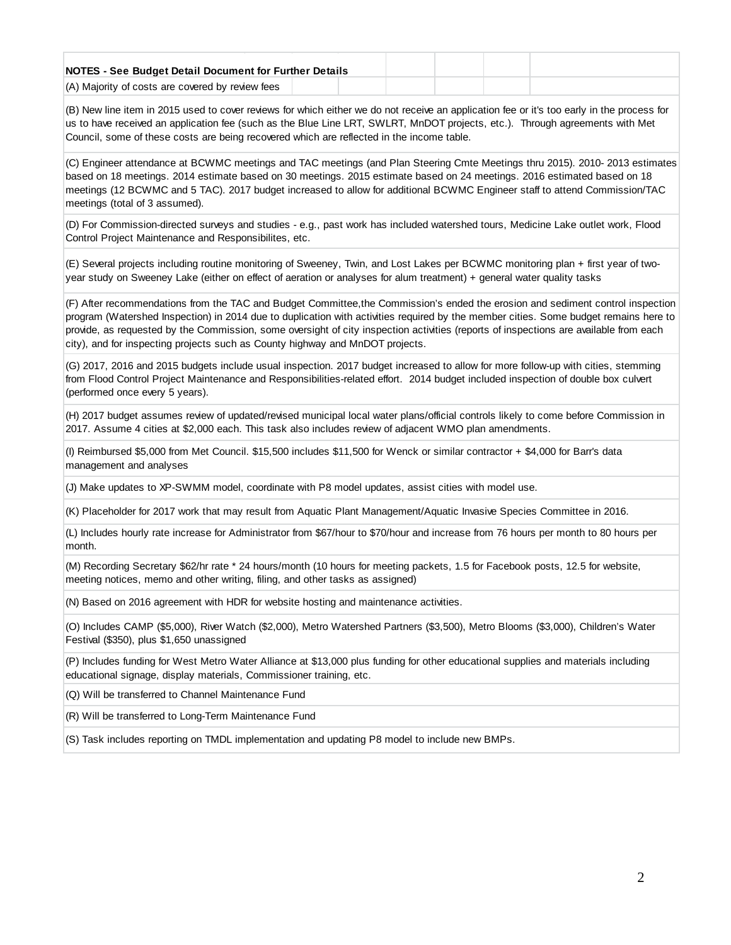| NOTES - See Budget Detail Document for Further Details |  |  |  |  |
|--------------------------------------------------------|--|--|--|--|
| (A) Majority of costs are covered by review fees       |  |  |  |  |

(B) New line item in 2015 used to cover reviews for which either we do not receive an application fee or it's too early in the process for us to have received an application fee (such as the Blue Line LRT, SWLRT, MnDOT projects, etc.). Through agreements with Met Council, some of these costs are being recovered which are reflected in the income table.

(C) Engineer attendance at BCWMC meetings and TAC meetings (and Plan Steering Cmte Meetings thru 2015). 2010- 2013 estimates based on 18 meetings. 2014 estimate based on 30 meetings. 2015 estimate based on 24 meetings. 2016 estimated based on 18 meetings (12 BCWMC and 5 TAC). 2017 budget increased to allow for additional BCWMC Engineer staff to attend Commission/TAC meetings (total of 3 assumed).

(D) For Commission-directed surveys and studies - e.g., past work has included watershed tours, Medicine Lake outlet work, Flood Control Project Maintenance and Responsibilites, etc.

(E) Several projects including routine monitoring of Sweeney, Twin, and Lost Lakes per BCWMC monitoring plan + first year of twoyear study on Sweeney Lake (either on effect of aeration or analyses for alum treatment) + general water quality tasks

(F) After recommendations from the TAC and Budget Committee,the Commission's ended the erosion and sediment control inspection program (Watershed Inspection) in 2014 due to duplication with activities required by the member cities. Some budget remains here to provide, as requested by the Commission, some oversight of city inspection activities (reports of inspections are available from each city), and for inspecting projects such as County highway and MnDOT projects.

(G) 2017, 2016 and 2015 budgets include usual inspection. 2017 budget increased to allow for more follow-up with cities, stemming from Flood Control Project Maintenance and Responsibilities-related effort. 2014 budget included inspection of double box culvert (performed once every 5 years).

(H) 2017 budget assumes review of updated/revised municipal local water plans/official controls likely to come before Commission in 2017. Assume 4 cities at \$2,000 each. This task also includes review of adjacent WMO plan amendments.

(I) Reimbursed \$5,000 from Met Council. \$15,500 includes \$11,500 for Wenck or similar contractor + \$4,000 for Barr's data management and analyses

(J) Make updates to XP-SWMM model, coordinate with P8 model updates, assist cities with model use.

(K) Placeholder for 2017 work that may result from Aquatic Plant Management/Aquatic Invasive Species Committee in 2016.

(L) Includes hourly rate increase for Administrator from \$67/hour to \$70/hour and increase from 76 hours per month to 80 hours per month.

(M) Recording Secretary \$62/hr rate \* 24 hours/month (10 hours for meeting packets, 1.5 for Facebook posts, 12.5 for website, meeting notices, memo and other writing, filing, and other tasks as assigned)

(N) Based on 2016 agreement with HDR for website hosting and maintenance activities.

(O) Includes CAMP (\$5,000), River Watch (\$2,000), Metro Watershed Partners (\$3,500), Metro Blooms (\$3,000), Children's Water Festival (\$350), plus \$1,650 unassigned

(P) Includes funding for West Metro Water Alliance at \$13,000 plus funding for other educational supplies and materials including educational signage, display materials, Commissioner training, etc.

(Q) Will be transferred to Channel Maintenance Fund

(R) Will be transferred to Long-Term Maintenance Fund

(S) Task includes reporting on TMDL implementation and updating P8 model to include new BMPs.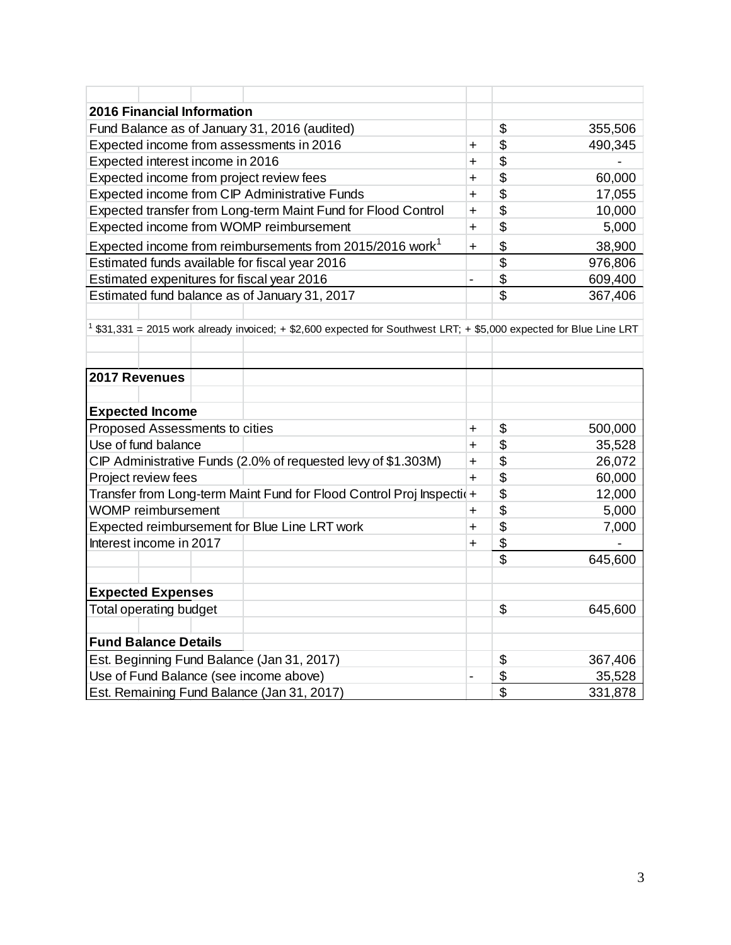| <b>2016 Financial Information</b>                                                                                     |                |                           |         |  |  |  |  |  |
|-----------------------------------------------------------------------------------------------------------------------|----------------|---------------------------|---------|--|--|--|--|--|
| Fund Balance as of January 31, 2016 (audited)                                                                         |                | \$                        | 355,506 |  |  |  |  |  |
| Expected income from assessments in 2016                                                                              | $\ddot{}$      | \$                        | 490,345 |  |  |  |  |  |
| Expected interest income in 2016                                                                                      | $\ddot{}$      | \$                        |         |  |  |  |  |  |
| Expected income from project review fees                                                                              | $\ddot{}$      | \$                        | 60,000  |  |  |  |  |  |
| Expected income from CIP Administrative Funds                                                                         | $\ddot{}$      | \$                        | 17,055  |  |  |  |  |  |
| Expected transfer from Long-term Maint Fund for Flood Control                                                         | $\ddot{}$      | \$                        | 10,000  |  |  |  |  |  |
| Expected income from WOMP reimbursement                                                                               | $\ddot{}$      | \$                        | 5,000   |  |  |  |  |  |
| Expected income from reimbursements from 2015/2016 work <sup>1</sup>                                                  | $\ddot{}$      | \$                        | 38,900  |  |  |  |  |  |
| Estimated funds available for fiscal year 2016                                                                        |                | \$                        | 976,806 |  |  |  |  |  |
| Estimated expenitures for fiscal year 2016                                                                            | $\overline{a}$ | \$                        | 609,400 |  |  |  |  |  |
| Estimated fund balance as of January 31, 2017                                                                         |                | \$                        | 367,406 |  |  |  |  |  |
|                                                                                                                       |                |                           |         |  |  |  |  |  |
| $1$ \$31,331 = 2015 work already invoiced; + \$2,600 expected for Southwest LRT; + \$5,000 expected for Blue Line LRT |                |                           |         |  |  |  |  |  |
|                                                                                                                       |                |                           |         |  |  |  |  |  |
|                                                                                                                       |                |                           |         |  |  |  |  |  |
| 2017 Revenues                                                                                                         |                |                           |         |  |  |  |  |  |
|                                                                                                                       |                |                           |         |  |  |  |  |  |
| <b>Expected Income</b>                                                                                                |                |                           |         |  |  |  |  |  |
| Proposed Assessments to cities                                                                                        | +              | \$                        | 500,000 |  |  |  |  |  |
| Use of fund balance                                                                                                   | $\ddot{}$      | \$                        | 35,528  |  |  |  |  |  |
| CIP Administrative Funds (2.0% of requested levy of \$1.303M)                                                         | $\ddot{}$      | \$                        | 26,072  |  |  |  |  |  |
| Project review fees                                                                                                   | $\ddot{}$      | \$                        | 60,000  |  |  |  |  |  |
| Transfer from Long-term Maint Fund for Flood Control Proj Inspectio+                                                  |                | \$                        | 12,000  |  |  |  |  |  |
| <b>WOMP</b> reimbursement                                                                                             | $\ddot{}$      | \$                        | 5,000   |  |  |  |  |  |
| Expected reimbursement for Blue Line LRT work                                                                         | +              | \$                        | 7,000   |  |  |  |  |  |
| Interest income in 2017                                                                                               | $\ddot{}$      | \$                        |         |  |  |  |  |  |
|                                                                                                                       |                | \$                        | 645,600 |  |  |  |  |  |
|                                                                                                                       |                |                           |         |  |  |  |  |  |
| <b>Expected Expenses</b>                                                                                              |                |                           |         |  |  |  |  |  |
| <b>Total operating budget</b>                                                                                         |                | \$                        | 645,600 |  |  |  |  |  |
|                                                                                                                       |                |                           |         |  |  |  |  |  |
| <b>Fund Balance Details</b>                                                                                           |                |                           |         |  |  |  |  |  |
| Est. Beginning Fund Balance (Jan 31, 2017)                                                                            |                | \$                        | 367,406 |  |  |  |  |  |
| Use of Fund Balance (see income above)                                                                                | -              | \$                        | 35,528  |  |  |  |  |  |
| Est. Remaining Fund Balance (Jan 31, 2017)                                                                            |                | $\overline{\mathfrak{s}}$ | 331,878 |  |  |  |  |  |